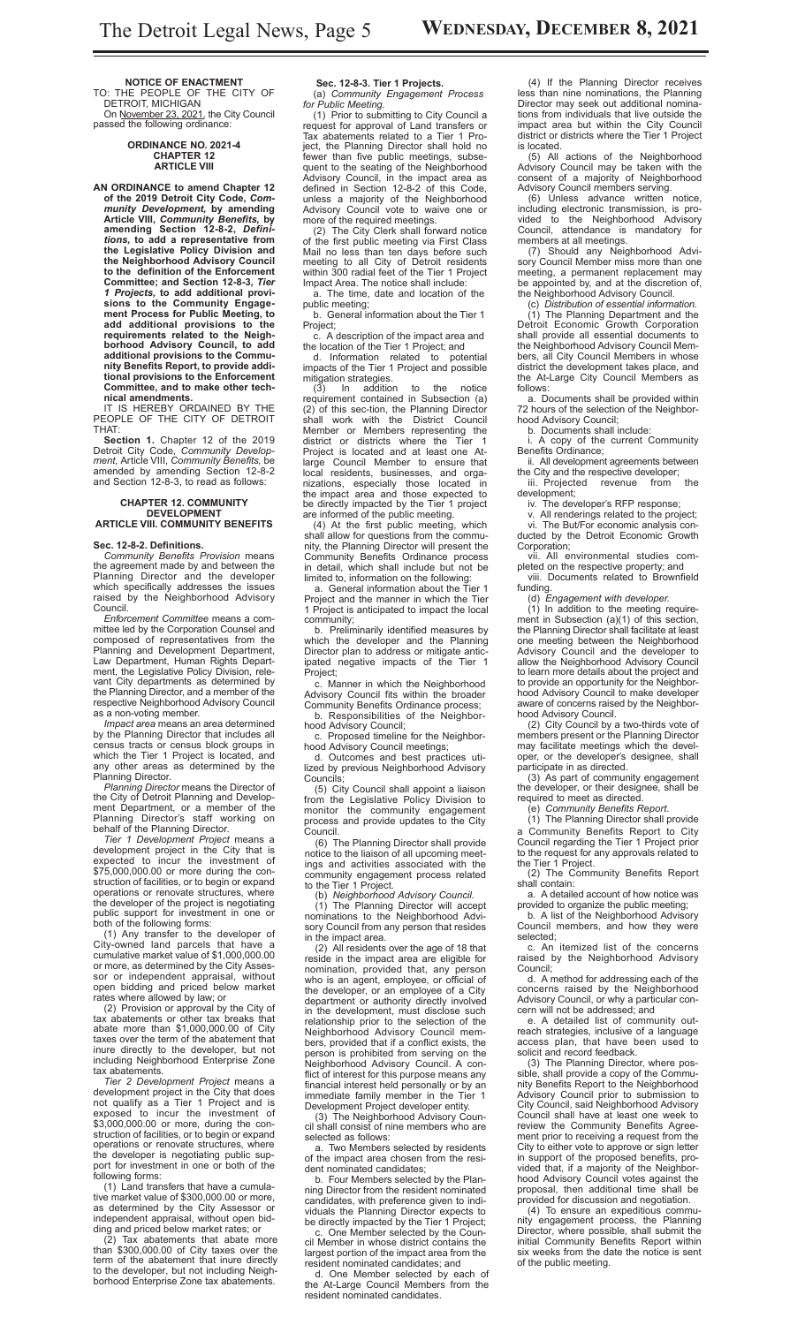**NOTICE OF ENACTMENT** TO: THE PEOPLE OF THE CITY OF DETROIT, MICHIGAN

On November 23, 2021, the City Council passed the following ordinance:

#### **ORDINANCE NO. 2021-4 CHAPTER 12 ARTICLE VIII**

**AN ORDINANCE to amend Chapter 12 of the 2019 Detroit City Code,** *Community Development,* **by amending Article VIII,** *Community Benefits,* **by amending Section 12-8-2,** *Definitions,* **to add a representative from the Legislative Policy Division and the Neighborhood Advisory Council to the definition of the Enforcement Committee; and Section 12-8-3,** *Tier 1 Projects,* **to add additional provi-sions to the Community Engagement Process for Public Meeting, to add additional provisions to the requirements related to the Neighborhood Advisory Council, to add additional provisions to the Community Benefits Report, to provide additional provisions to the Enforcement Committee, and to make other tech-**

**nical amendments***.* IT IS HEREBY ORDAINED BY THE PEOPLE OF THE CITY OF DETROIT THAT:

**Section 1.** Chapter 12 of the 2019 Detroit City Code, *Community Development,* Article VIII, *Community Benefits,* be amended by amending Section 12-8-2 and Section 12-8-3, to read as follows:

### **CHAPTER 12. COMMUNITY DEVELOPMENT**

# **ARTICLE VIII. COMMUNITY BENEFITS**

**Sec. 12-8-2. Definitions.** *Community Benefits Provision* means the agreement made by and between the Planning Director and the developer which specifically addresses the issues raised by the Neighborhood Advisory Council.

*Enforcement Committee* means a committee led by the Corporation Counsel and composed of representatives from the Planning and Development Department, Law Department, Human Rights Department, the Legislative Policy Division, relevant City departments as determined by the Planning Director, and a member of the respective Neighborhood Advisory Council as a non-voting member.

*Impact area* means an area determined by the Planning Director that includes all census tracts or census block groups in which the Tier 1 Project is located, and any other areas as determined by the Planning Director.

*Planning Director* means the Director of the City of Detroit Planning and Development Department, or a member of the Planning Director's staff working on behalf of the Planning Director.

*Tier 1 Development Project* means a development project in the City that is expected to incur the investment of \$75,000,000.00 or more during the construction of facilities, or to begin or expand operations or renovate structures, where the developer of the project is negotiating public support for investment in one or both of the following forms:

(1) Any transfer to the developer of City-owned land parcels that have a cumulative market value of \$1,000,000.00 or more, as determined by the City Assessor or independent appraisal, without open bidding and priced below market rates where allowed by law; or

(2) Provision or approval by the City of tax abatements or other tax breaks that abate more than \$1,000,000.00 of City taxes over the term of the abatement that inure directly to the developer, but not including Neighborhood Enterprise Zone tax abatements.

*Tier 2 Development Project* means a development project in the City that does not qualify as a Tier 1 Project and is exposed to incur the investment of \$3,000,000.00 or more, during the construction of facilities, or to begin or expand operations or renovate structures, where the developer is negotiating public support for investment in one or both of the following forms:

(1) Land transfers that have a cumulative market value of \$300,000.00 or more, as determined by the City Assessor or independent appraisal, without open bidding and priced below market rates; or

(2) Tax abatements that abate more than \$300,000.00 of City taxes over the term of the abatement that inure directly to the developer, but not including Neighborhood Enterprise Zone tax abatements.

**Sec. 12-8-3. Tier 1 Projects.**

(a) *Community Engagement Process for Public Meeting.* (1) Prior to submitting to City Council a

request for approval of Land transfers or Tax abatements related to a Tier 1 Project, the Planning Director shall hold no fewer than five public meetings, subsequent to the seating of the Neighborhood Advisory Council, in the impact area as defined in Section 12-8-2 of this Code, unless a majority of the Neighborhood Advisory Council vote to waive one or more of the required meetings.

(2) The City Clerk shall forward notice of the first public meeting via First Class Mail no less than ten days before such meeting to all City of Detroit residents within 300 radial feet of the Tier 1 Project Impact Area. The notice shall include:

a. The time, date and location of the public meeting;

b. General information about the Tier 1 Project;

c. A description of the impact area and the location of the Tier 1 Project; and

d. Information related to potential impacts of the Tier 1 Project and possible mitigation strategies.

(3) In addition to the notice requirement contained in Subsection (a) (2) of this sec-tion, the Planning Director shall work with the District Council Member or Members representing the district or districts where the Tier 1 Project is located and at least one Atlarge Council Member to ensure that local residents, businesses, and organizations, especially those located in the impact area and those expected to be directly impacted by the Tier 1 project are informed of the public meeting.

(4) At the first public meeting, which shall allow for questions from the community, the Planning Director will present the Community Benefits Ordinance process in detail, which shall include but not be limited to, information on the following:

a. General information about the Tier 1 Project and the manner in which the Tier 1 Project is anticipated to impact the local community;

b. Preliminarily identified measures by which the developer and the Planning Director plan to address or mitigate anticipated negative impacts of the Tier 1 Project;

c. Manner in which the Neighborhood Advisory Council fits within the broader Community Benefits Ordinance process; b. Responsibilities of the Neighbor-

hood Advisory Council; c. Proposed timeline for the Neighbor-

hood Advisory Council meetings; d. Outcomes and best practices utilized by previous Neighborhood Advisory Councils;

(5) City Council shall appoint a liaison from the Legislative Policy Division to monitor the community engagement process and provide updates to the City Council.

(6) The Planning Director shall provide notice to the liaison of all upcoming meetings and activities associated with the community engagement process related to the Tier 1 Project.

(b) *Neighborhood Advisory Council.* (1) The Planning Director will accept nominations to the Neighborhood Advisory Council from any person that resides in the impact area.

(2) All residents over the age of 18 that reside in the impact area are eligible for nomination, provided that, any person who is an agent, employee, or official of the developer, or an employee of a City department or authority directly involved in the development, must disclose such relationship prior to the selection of the Neighborhood Advisory Council members, provided that if a conflict exists, the person is prohibited from serving on the Neighborhood Advisory Council. A conflict of interest for this purpose means any financial interest held personally or by an immediate family member in the Tier 1 Development Project developer entity.

(3) The Neighborhood Advisory Council shall consist of nine members who are selected as follows:

a. Two Members selected by residents of the impact area chosen from the resident nominated candidates;

b. Four Members selected by the Planning Director from the resident nominated candidates, with preference given to individuals the Planning Director expects to be directly impacted by the Tier 1 Project;

c. One Member selected by the Council Member in whose district contains the largest portion of the impact area from the resident nominated candidates; and

d. One Member selected by each of the At-Large Council Members from the resident nominated candidates.

(4) If the Planning Director receives less than nine nominations, the Planning Director may seek out additional nominations from individuals that live outside the impact area but within the City Council district or districts where the Tier 1 Project is located.

(5) All actions of the Neighborhood Advisory Council may be taken with the consent of a majority of Neighborhood Advisory Council members serving.

(6) Unless advance written notice, including electronic transmission, is provided to the Neighborhood Advisory Council, attendance is mandatory for members at all meetings.

(7) Should any Neighborhood Advisory Council Member miss more than one meeting, a permanent replacement may be appointed by, and at the discretion of, the Neighborhood Advisory Council.

(c) *Distribution of essential information.* (1) The Planning Department and the Detroit Economic Growth Corporation shall provide all essential documents to the Neighborhood Advisory Council Members, all City Council Members in whose district the development takes place, and the At-Large City Council Members as follows:

a. Documents shall be provided within 72 hours of the selection of the Neighborhood Advisory Council;

b. Documents shall include:

i. A copy of the current Community Benefits Ordinance;

ii. All development agreements between the City and the respective developer; iii. Projected revenue from the

development;

iv. The developer's RFP response;

v. All renderings related to the project; vi. The But/For economic analysis conducted by the Detroit Economic Growth Corporation;

vii. All environmental studies completed on the respective property; and viii. Documents related to Brownfield funding.

(d) *Engagement with developer.* (1) In addition to the meeting requirement in Subsection (a)(1) of this section, the Planning Director shall facilitate at least one meeting between the Neighborhood Advisory Council and the developer to allow the Neighborhood Advisory Council to learn more details about the project and to provide an opportunity for the Neighborhood Advisory Council to make developer aware of concerns raised by the Neighborhood Advisory Council.

(2) City Council by a two-thirds vote of members present or the Planning Director may facilitate meetings which the developer, or the developer's designee, shall participate in as directed.

(3) As part of community engagement the developer, or their designee, shall be required to meet as directed.

(e) *Community Benefits Report.* (1) The Planning Director shall provide

a Community Benefits Report to City Council regarding the Tier 1 Project prior to the request for any approvals related to the Tier 1 Project.

(2) The Community Benefits Report shall contain:

a. A detailed account of how notice was provided to organize the public meeting;

b. A list of the Neighborhood Advisory Council members, and how they were selected;

c. An itemized list of the concerns raised by the Neighborhood Advisory<br>Council: Council;

d. A method for addressing each of the concerns raised by the Neighborhood Advisory Council, or why a particular concern will not be addressed; and

e. A detailed list of community outreach strategies, inclusive of a language access plan, that have been used to solicit and record feedback.

(3) The Planning Director, where possible, shall provide a copy of the Community Benefits Report to the Neighborhood Advisory Council prior to submission to City Council, said Neighborhood Advisory Council shall have at least one week to review the Community Benefits Agreement prior to receiving a request from the City to either vote to approve or sign letter in support of the proposed benefits, provided that, if a majority of the Neighborhood Advisory Council votes against the proposal, then additional time shall be provided for discussion and negotiation.

(4) To ensure an expeditious community engagement process, the Planning Director, where possible, shall submit the initial Community Benefits Report within six weeks from the date the notice is sent of the public meeting.